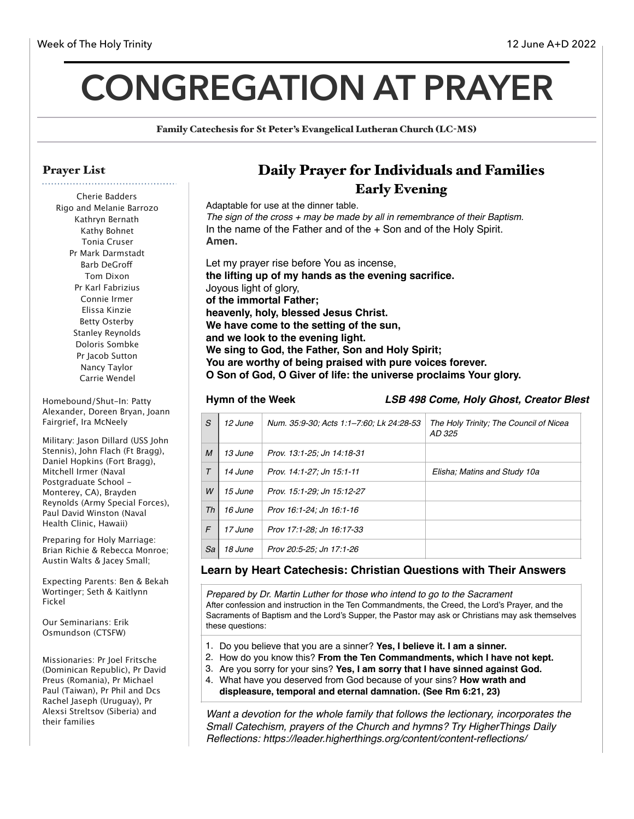# **CONGREGATION AT PRAYER**

Family Catechesis for St Peter's Evangelical Lutheran Church (LC-MS)

#### Prayer List

Cherie Badders Rigo and Melanie Barrozo Kathryn Bernath Kathy Bohnet Tonia Cruser Pr Mark Darmstadt Barb DeGrof Tom Dixon Pr Karl Fabrizius Connie Irmer Elissa Kinzie Betty Osterby Stanley Reynolds Doloris Sombke Pr Jacob Sutton Nancy Taylor Carrie Wendel

Homebound/Shut-In: Patty Alexander, Doreen Bryan, Joann Fairgrief, Ira McNeely

Military: Jason Dillard (USS John Stennis), John Flach (Ft Bragg), Daniel Hopkins (Fort Bragg), Mitchell Irmer (Naval Postgraduate School - Monterey, CA), Brayden Reynolds (Army Special Forces), Paul David Winston (Naval Health Clinic, Hawaii)

Preparing for Holy Marriage: Brian Richie & Rebecca Monroe; Austin Walts & Jacey Small;

Expecting Parents: Ben & Bekah Wortinger; Seth & Kaitlynn Fickel

Our Seminarians: Erik Osmundson (CTSFW)

Missionaries: Pr Joel Fritsche (Dominican Republic), Pr David Preus (Romania), Pr Michael Paul (Taiwan), Pr Phil and Dcs Rachel Jaseph (Uruguay), Pr Alexsi Streltsov (Siberia) and their families

## Daily Prayer for Individuals and Families Early Evening

Adaptable for use at the dinner table. *The sign of the cross + may be made by all in remembrance of their Baptism.* In the name of the Father and of the + Son and of the Holy Spirit. **Amen.** Let my prayer rise before You as incense, **the lifting up of my hands as the evening sacrifice.** Joyous light of glory, **of the immortal Father; heavenly, holy, blessed Jesus Christ.**

**We have come to the setting of the sun,** 

**and we look to the evening light.**

**We sing to God, the Father, Son and Holy Spirit;**

**You are worthy of being praised with pure voices forever.**

**O Son of God, O Giver of life: the universe proclaims Your glory.**

**Hymn of the Week** *LSB 498 Come, Holy Ghost, Creator Blest*

| S                | 12 June | Num. 35:9-30; Acts 1:1-7:60; Lk 24:28-53 | The Holy Trinity; The Council of Nicea<br>AD 325 |
|------------------|---------|------------------------------------------|--------------------------------------------------|
| $\boldsymbol{M}$ | 13 June | Prov. 13:1-25; Jn 14:18-31               |                                                  |
| $\tau$           | 14 June | Prov. 14:1-27; Jn 15:1-11                | Elisha: Matins and Study 10a                     |
| W                | 15 June | Prov. 15:1-29; Jn 15:12-27               |                                                  |
| Th               | 16 June | Prov 16:1-24: Jn 16:1-16                 |                                                  |
| F                | 17 June | Prov 17:1-28; Jn 16:17-33                |                                                  |
| Sa               | 18 June | Prov 20:5-25; Jn 17:1-26                 |                                                  |

#### **Learn by Heart Catechesis: Christian Questions with Their Answers**

*Prepared by Dr. Martin Luther for those who intend to go to the Sacrament* After confession and instruction in the Ten Commandments, the Creed, the Lord's Prayer, and the Sacraments of Baptism and the Lord's Supper, the Pastor may ask or Christians may ask themselves these questions:

- 1. Do you believe that you are a sinner? **Yes, I believe it. I am a sinner.**
- 2. How do you know this? **From the Ten Commandments, which I have not kept.**
- 3. Are you sorry for your sins? **Yes, I am sorry that I have sinned against God.**
- 4. What have you deserved from God because of your sins? **How wrath and** 
	- **displeasure, temporal and eternal damnation. (See Rm 6:21, 23)**

*Want a devotion for the whole family that follows the lectionary, incorporates the Small Catechism, prayers of the Church and hymns? Try HigherThings Daily Reflections: https://leader.higherthings.org/content/content-reflections/*